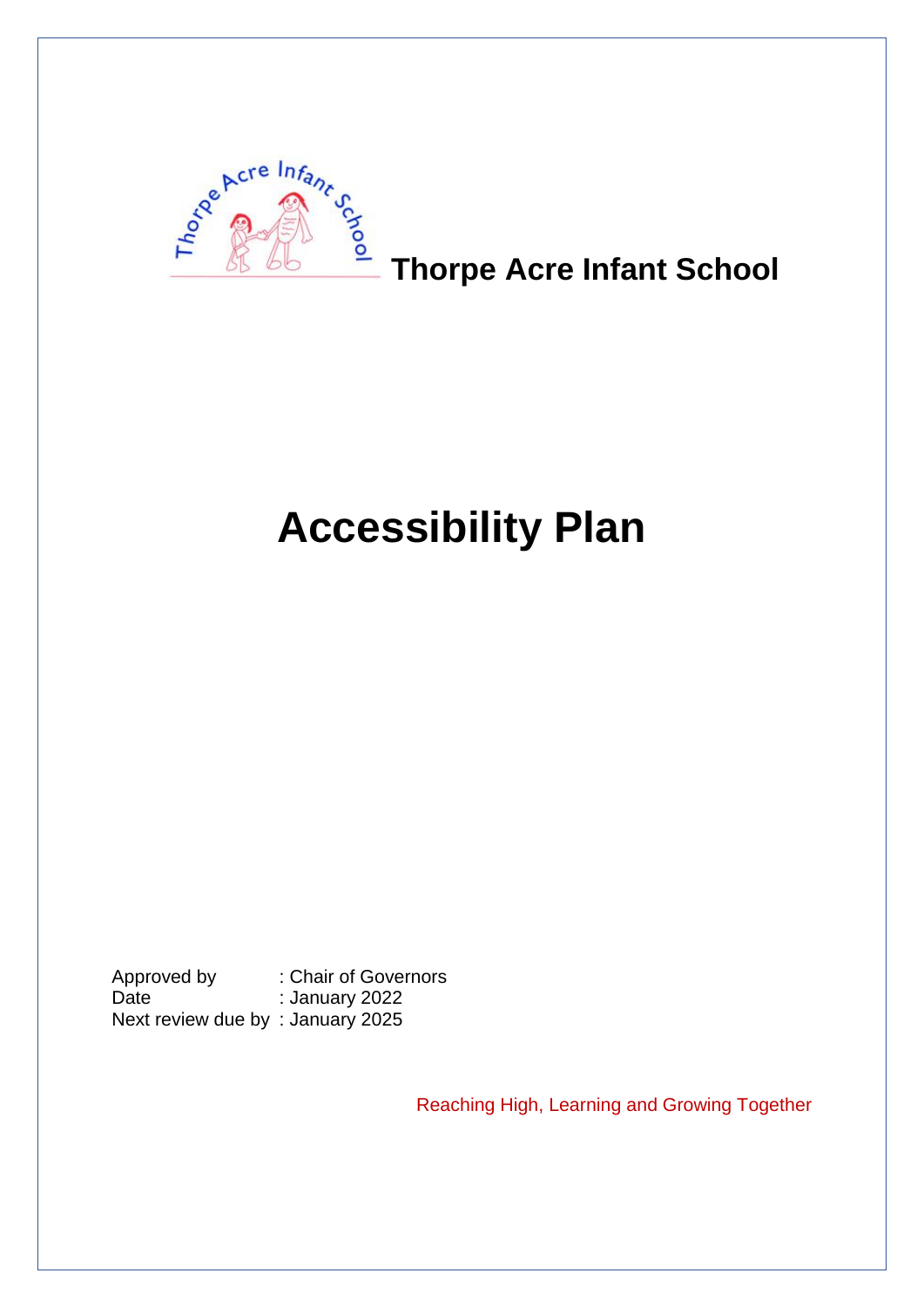

## **Thorpe Acre Infant School**

# **Accessibility Plan**

Approved by : Chair of Governors Date : January 2022 Next review due by : January 2025

Reaching High, Learning and Growing Together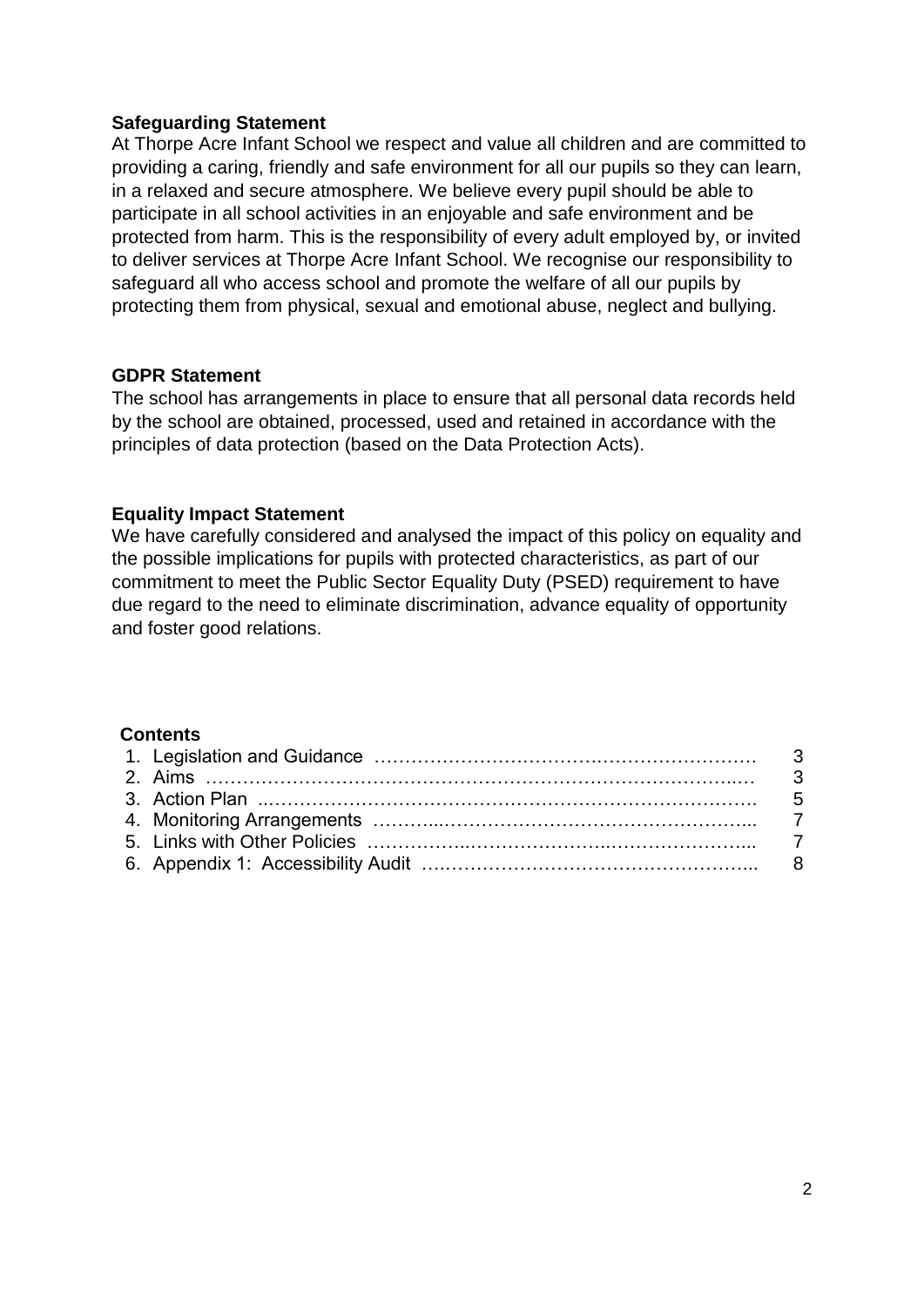#### **Safeguarding Statement**

At Thorpe Acre Infant School we respect and value all children and are committed to providing a caring, friendly and safe environment for all our pupils so they can learn, in a relaxed and secure atmosphere. We believe every pupil should be able to participate in all school activities in an enjoyable and safe environment and be protected from harm. This is the responsibility of every adult employed by, or invited to deliver services at Thorpe Acre Infant School. We recognise our responsibility to safeguard all who access school and promote the welfare of all our pupils by protecting them from physical, sexual and emotional abuse, neglect and bullying.

#### **GDPR Statement**

The school has arrangements in place to ensure that all personal data records held by the school are obtained, processed, used and retained in accordance with the principles of data protection (based on the Data Protection Acts).

#### **Equality Impact Statement**

We have carefully considered and analysed the impact of this policy on equality and the possible implications for pupils with protected characteristics, as part of our commitment to meet the Public Sector Equality Duty (PSED) requirement to have due regard to the need to eliminate discrimination, advance equality of opportunity and foster good relations.

#### **Contents**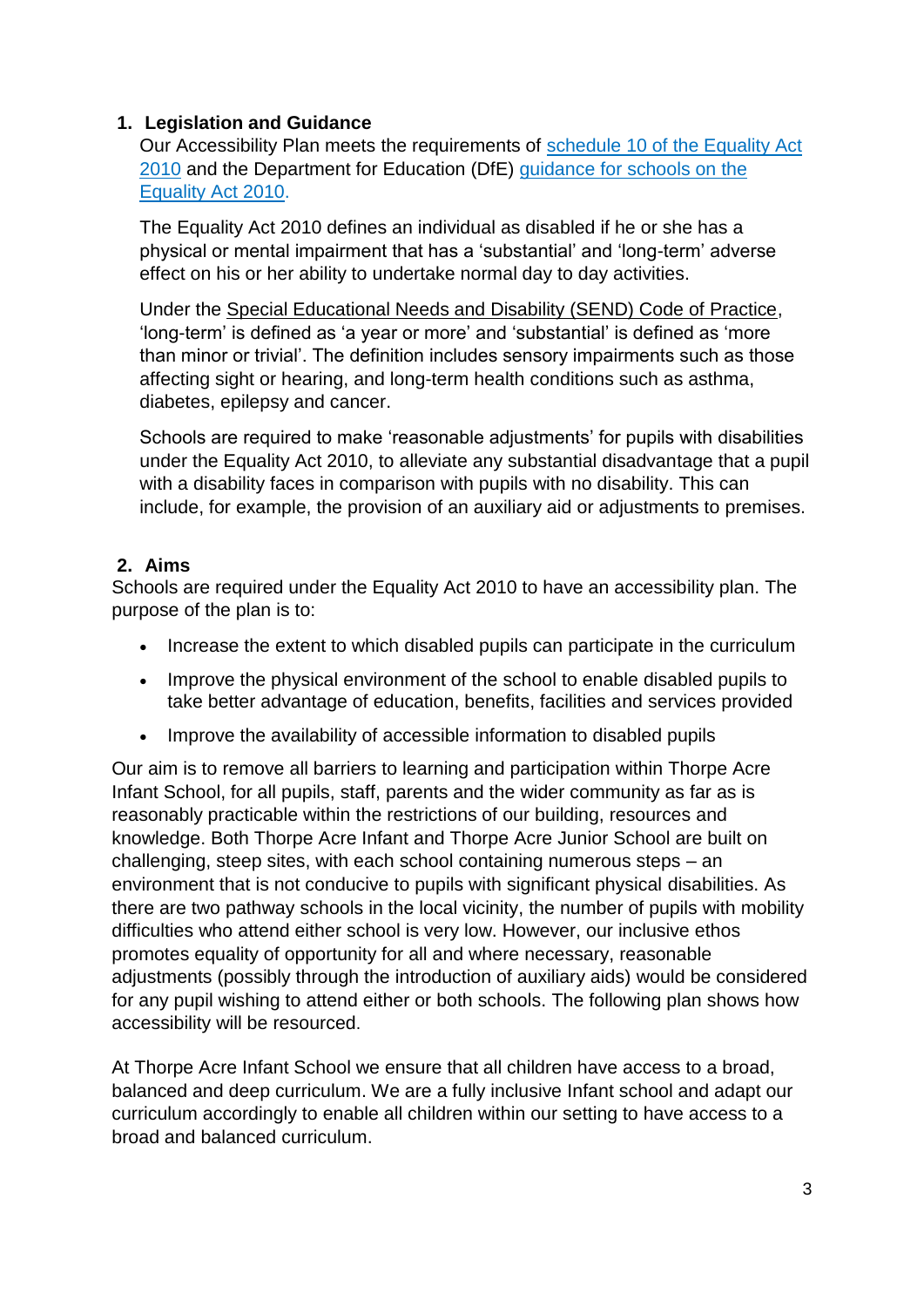#### **1. Legislation and Guidance**

Our Accessibility Plan meets the requirements of schedule 10 of [the Equality Act](http://www.legislation.gov.uk/ukpga/2010/15/schedule/10)  [2010](http://www.legislation.gov.uk/ukpga/2010/15/schedule/10) and the Department for Education (DfE) [guidance for schools on the](https://www.gov.uk/government/publications/equality-act-2010-advice-for-schools)  [Equality Act 2010.](https://www.gov.uk/government/publications/equality-act-2010-advice-for-schools)

The Equality Act 2010 defines an individual as disabled if he or she has a physical or mental impairment that has a 'substantial' and 'long-term' adverse effect on his or her ability to undertake normal day to day activities.

Under the [Special Educational Needs and Disability \(SEND\) Code of Practice,](https://www.gov.uk/government/publications/send-code-of-practice-0-to-25) 'long-term' is defined as 'a year or more' and 'substantial' is defined as 'more than minor or trivial'. The definition includes sensory impairments such as those affecting sight or hearing, and long-term health conditions such as asthma, diabetes, epilepsy and cancer.

Schools are required to make 'reasonable adjustments' for pupils with disabilities under the Equality Act 2010, to alleviate any substantial disadvantage that a pupil with a disability faces in comparison with pupils with no disability. This can include, for example, the provision of an auxiliary aid or adjustments to premises.

#### **2. Aims**

Schools are required under the Equality Act 2010 to have an accessibility plan. The purpose of the plan is to:

- Increase the extent to which disabled pupils can participate in the curriculum
- Improve the physical environment of the school to enable disabled pupils to take better advantage of education, benefits, facilities and services provided
- Improve the availability of accessible information to disabled pupils

Our aim is to remove all barriers to learning and participation within Thorpe Acre Infant School, for all pupils, staff, parents and the wider community as far as is reasonably practicable within the restrictions of our building, resources and knowledge. Both Thorpe Acre Infant and Thorpe Acre Junior School are built on challenging, steep sites, with each school containing numerous steps – an environment that is not conducive to pupils with significant physical disabilities. As there are two pathway schools in the local vicinity, the number of pupils with mobility difficulties who attend either school is very low. However, our inclusive ethos promotes equality of opportunity for all and where necessary, reasonable adjustments (possibly through the introduction of auxiliary aids) would be considered for any pupil wishing to attend either or both schools. The following plan shows how accessibility will be resourced.

At Thorpe Acre Infant School we ensure that all children have access to a broad, balanced and deep curriculum. We are a fully inclusive Infant school and adapt our curriculum accordingly to enable all children within our setting to have access to a broad and balanced curriculum.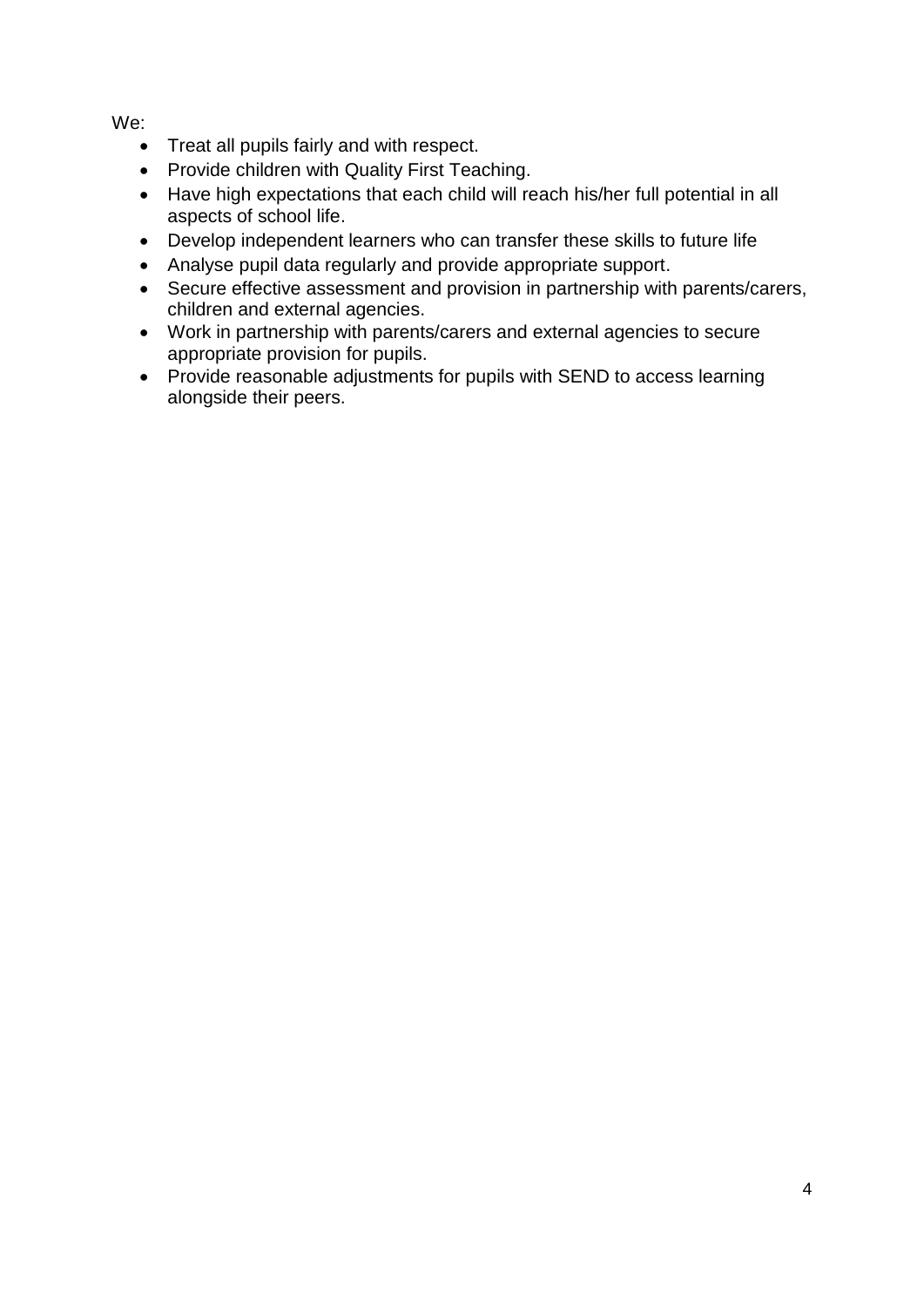We:

- Treat all pupils fairly and with respect.
- Provide children with Quality First Teaching.
- Have high expectations that each child will reach his/her full potential in all aspects of school life.
- Develop independent learners who can transfer these skills to future life
- Analyse pupil data regularly and provide appropriate support.
- Secure effective assessment and provision in partnership with parents/carers, children and external agencies.
- Work in partnership with parents/carers and external agencies to secure appropriate provision for pupils.
- Provide reasonable adjustments for pupils with SEND to access learning alongside their peers.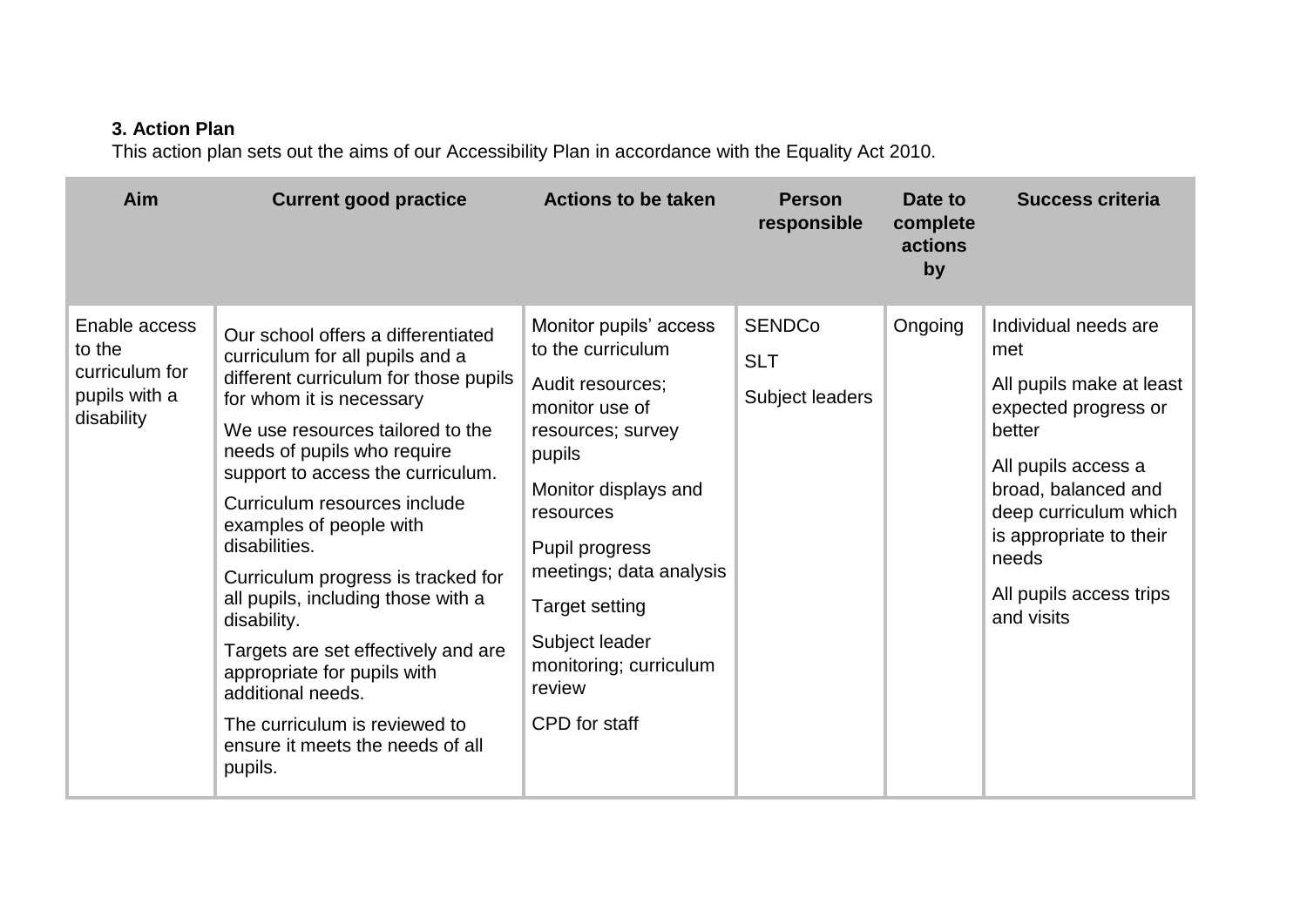#### **3. Action Plan**

This action plan sets out the aims of our Accessibility Plan in accordance with the Equality Act 2010.

| Aim                                                                      | <b>Current good practice</b>                                                                                                                                                                                                                                                                                                                                                                                                                                                                                                                                                                         | <b>Actions to be taken</b>                                                                                                                                                                                                                                                                         | <b>Person</b><br>responsible                   | Date to<br>complete<br>actions<br>by | <b>Success criteria</b>                                                                                                                                                                                                                       |
|--------------------------------------------------------------------------|------------------------------------------------------------------------------------------------------------------------------------------------------------------------------------------------------------------------------------------------------------------------------------------------------------------------------------------------------------------------------------------------------------------------------------------------------------------------------------------------------------------------------------------------------------------------------------------------------|----------------------------------------------------------------------------------------------------------------------------------------------------------------------------------------------------------------------------------------------------------------------------------------------------|------------------------------------------------|--------------------------------------|-----------------------------------------------------------------------------------------------------------------------------------------------------------------------------------------------------------------------------------------------|
| Enable access<br>to the<br>curriculum for<br>pupils with a<br>disability | Our school offers a differentiated<br>curriculum for all pupils and a<br>different curriculum for those pupils<br>for whom it is necessary<br>We use resources tailored to the<br>needs of pupils who require<br>support to access the curriculum.<br>Curriculum resources include<br>examples of people with<br>disabilities.<br>Curriculum progress is tracked for<br>all pupils, including those with a<br>disability.<br>Targets are set effectively and are<br>appropriate for pupils with<br>additional needs.<br>The curriculum is reviewed to<br>ensure it meets the needs of all<br>pupils. | Monitor pupils' access<br>to the curriculum<br>Audit resources;<br>monitor use of<br>resources; survey<br>pupils<br>Monitor displays and<br>resources<br>Pupil progress<br>meetings; data analysis<br><b>Target setting</b><br>Subject leader<br>monitoring; curriculum<br>review<br>CPD for staff | <b>SENDCo</b><br><b>SLT</b><br>Subject leaders | Ongoing                              | Individual needs are<br>met<br>All pupils make at least<br>expected progress or<br>better<br>All pupils access a<br>broad, balanced and<br>deep curriculum which<br>is appropriate to their<br>needs<br>All pupils access trips<br>and visits |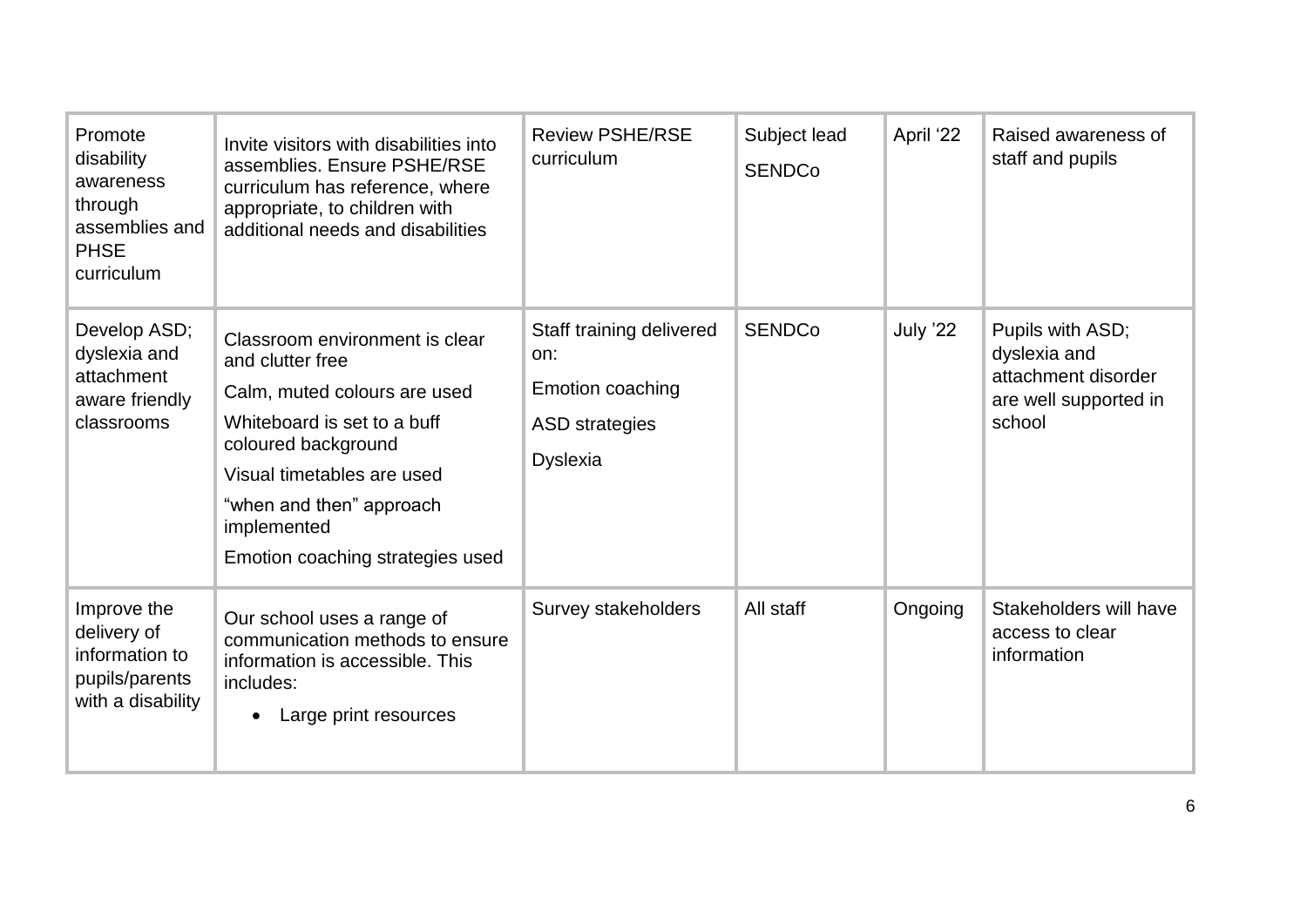| Promote<br>disability<br>awareness<br>through<br>assemblies and<br><b>PHSE</b><br>curriculum | Invite visitors with disabilities into<br>assemblies. Ensure PSHE/RSE<br>curriculum has reference, where<br>appropriate, to children with<br>additional needs and disabilities                                                                        | <b>Review PSHE/RSE</b><br>curriculum                                                            | Subject lead<br><b>SENDCo</b> | April '22 | Raised awareness of<br>staff and pupils                                                    |
|----------------------------------------------------------------------------------------------|-------------------------------------------------------------------------------------------------------------------------------------------------------------------------------------------------------------------------------------------------------|-------------------------------------------------------------------------------------------------|-------------------------------|-----------|--------------------------------------------------------------------------------------------|
| Develop ASD;<br>dyslexia and<br>attachment<br>aware friendly<br>classrooms                   | Classroom environment is clear<br>and clutter free<br>Calm, muted colours are used<br>Whiteboard is set to a buff<br>coloured background<br>Visual timetables are used<br>"when and then" approach<br>implemented<br>Emotion coaching strategies used | Staff training delivered<br>on:<br>Emotion coaching<br><b>ASD</b> strategies<br><b>Dyslexia</b> | <b>SENDCo</b>                 | July '22  | Pupils with ASD;<br>dyslexia and<br>attachment disorder<br>are well supported in<br>school |
| Improve the<br>delivery of<br>information to<br>pupils/parents<br>with a disability          | Our school uses a range of<br>communication methods to ensure<br>information is accessible. This<br>includes:<br>Large print resources<br>$\bullet$                                                                                                   | Survey stakeholders                                                                             | All staff                     | Ongoing   | Stakeholders will have<br>access to clear<br>information                                   |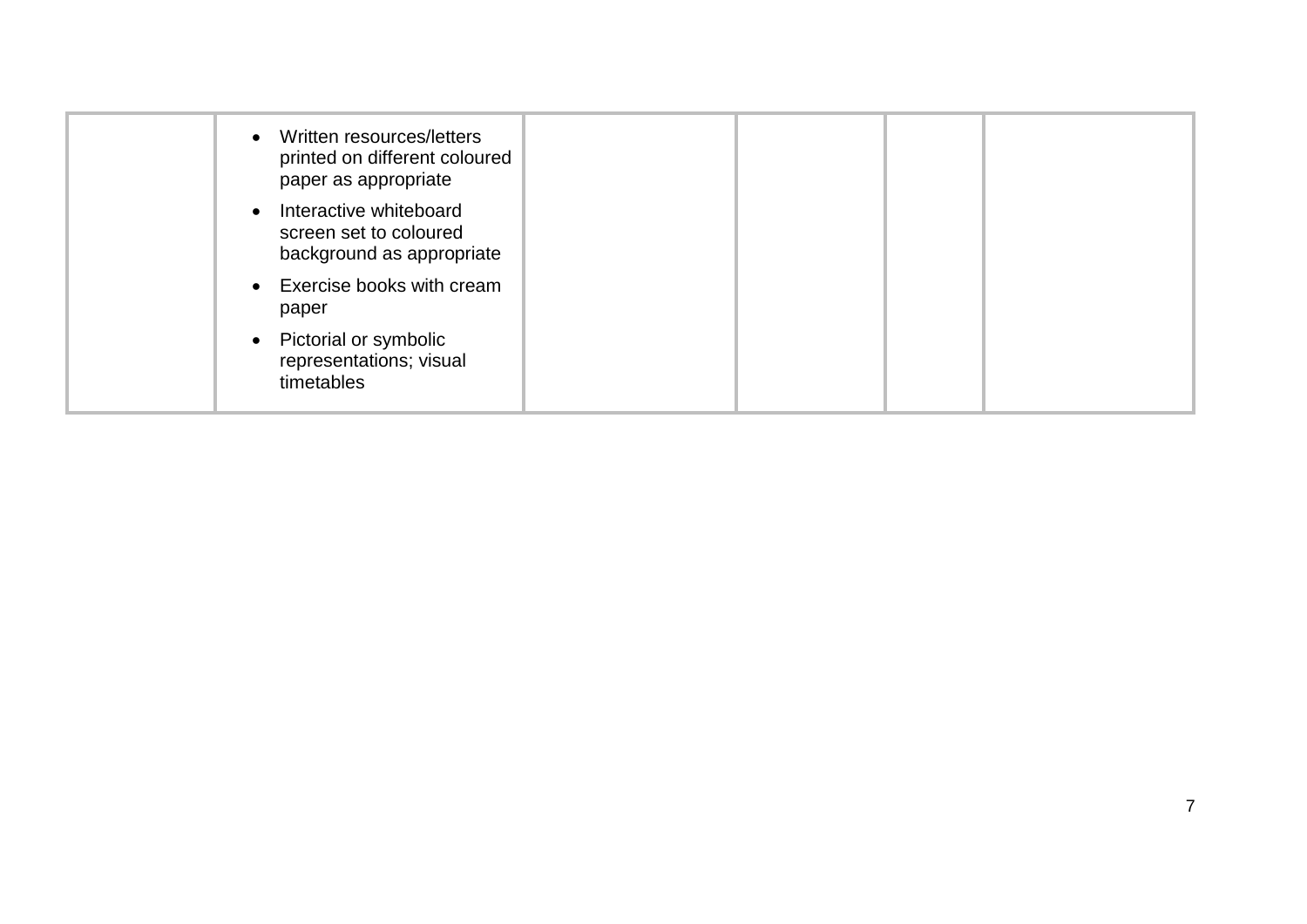| • Written resources/letters<br>printed on different coloured<br>paper as appropriate |  |  |
|--------------------------------------------------------------------------------------|--|--|
| • Interactive whiteboard<br>screen set to coloured<br>background as appropriate      |  |  |
| • Exercise books with cream<br>paper                                                 |  |  |
| • Pictorial or symbolic<br>representations; visual<br>timetables                     |  |  |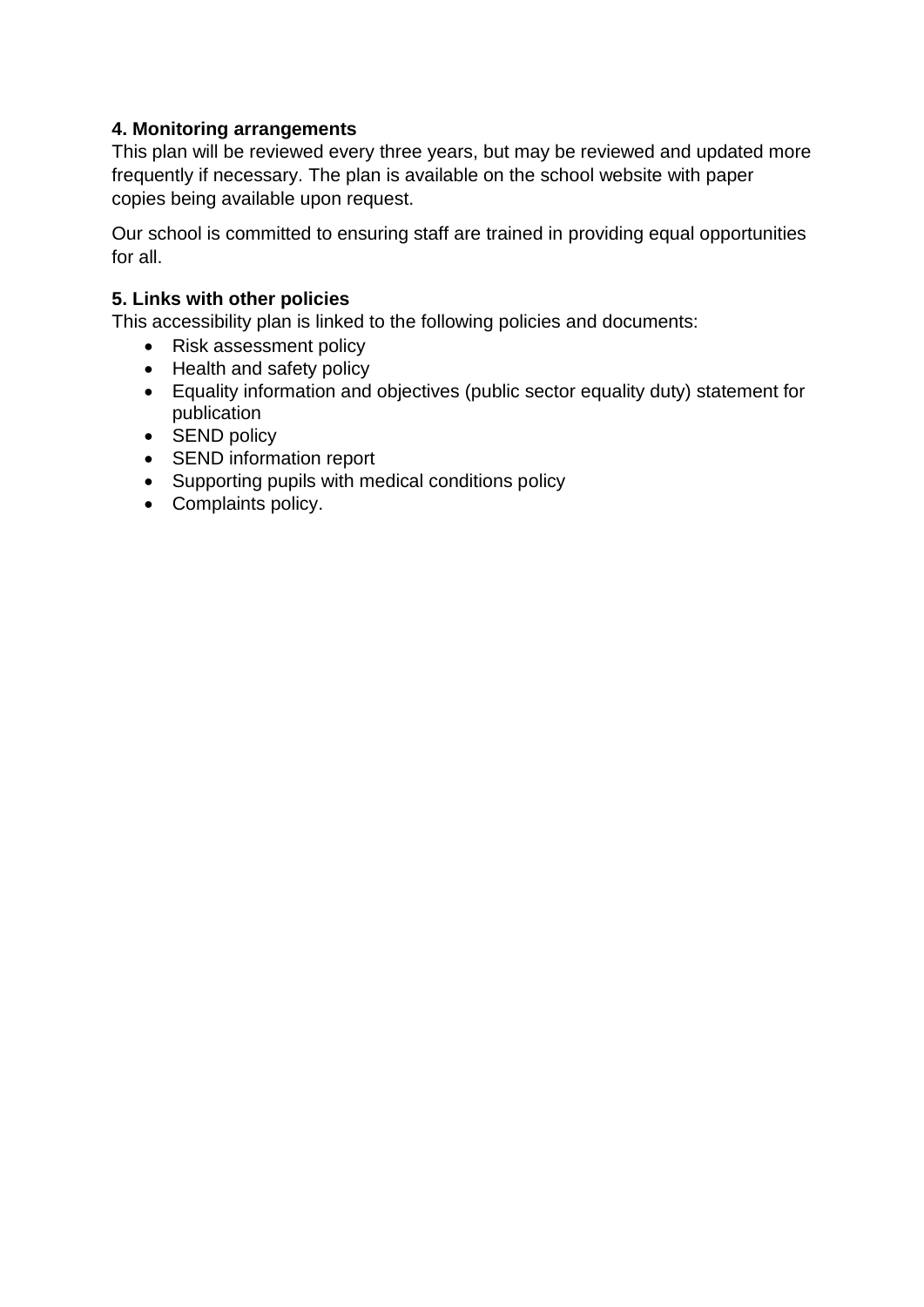#### **4. Monitoring arrangements**

This plan will be reviewed every three years, but may be reviewed and updated more frequently if necessary. The plan is available on the school website with paper copies being available upon request.

Our school is committed to ensuring staff are trained in providing equal opportunities for all.

#### **5. Links with other policies**

This accessibility plan is linked to the following policies and documents:

- Risk assessment policy
- Health and safety policy
- Equality information and objectives (public sector equality duty) statement for publication
- SEND policy
- SEND information report
- Supporting pupils with medical conditions policy
- Complaints policy.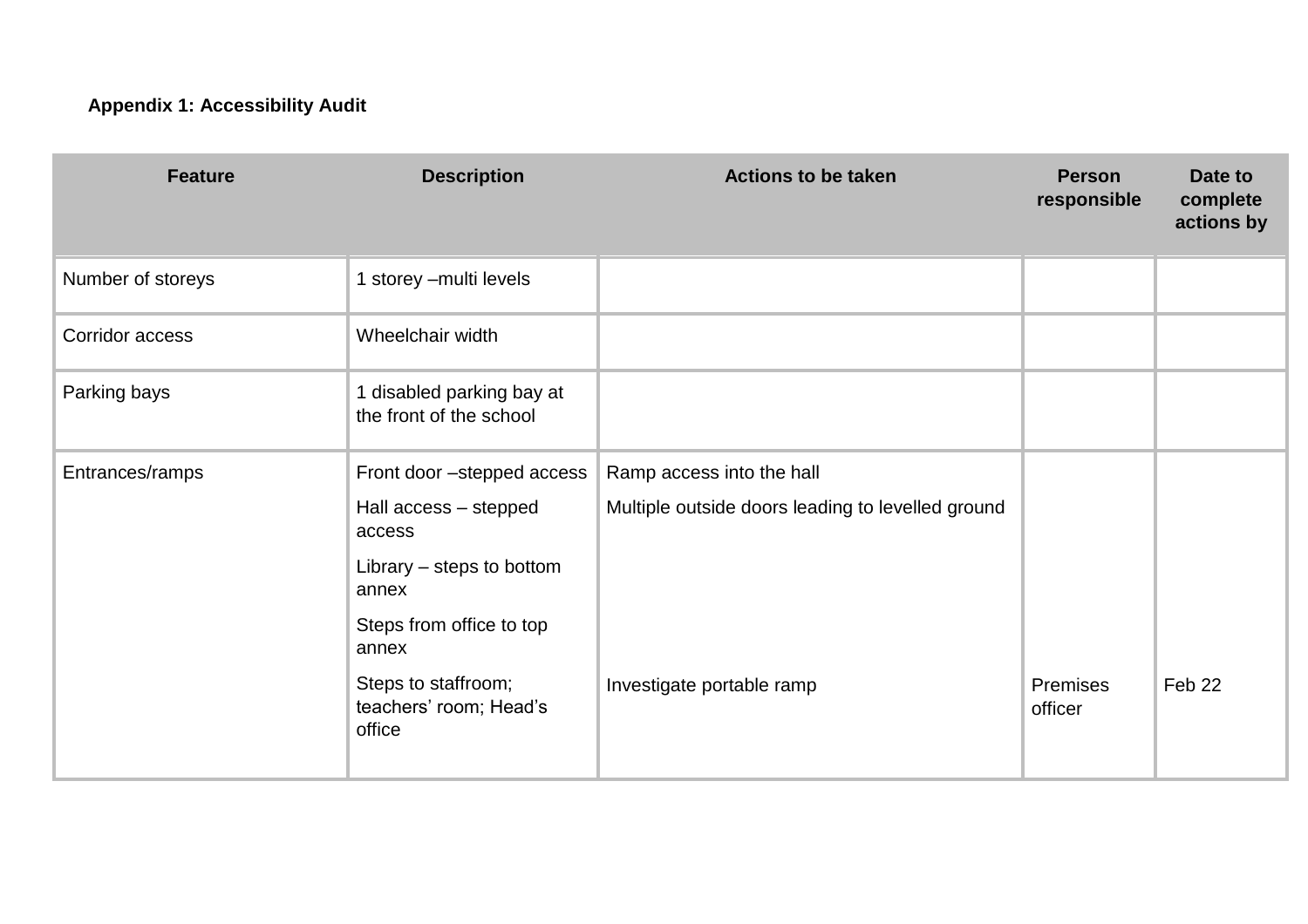### **Appendix 1: Accessibility Audit**

| <b>Feature</b>    | <b>Description</b>                                      | <b>Actions to be taken</b>                        | <b>Person</b><br>responsible | Date to<br>complete<br>actions by |
|-------------------|---------------------------------------------------------|---------------------------------------------------|------------------------------|-----------------------------------|
| Number of storeys | 1 storey - multi levels                                 |                                                   |                              |                                   |
| Corridor access   | Wheelchair width                                        |                                                   |                              |                                   |
| Parking bays      | 1 disabled parking bay at<br>the front of the school    |                                                   |                              |                                   |
| Entrances/ramps   | Front door -stepped access                              | Ramp access into the hall                         |                              |                                   |
|                   | Hall access - stepped<br>access                         | Multiple outside doors leading to levelled ground |                              |                                   |
|                   | Library – steps to bottom<br>annex                      |                                                   |                              |                                   |
|                   | Steps from office to top<br>annex                       |                                                   |                              |                                   |
|                   | Steps to staffroom;<br>teachers' room; Head's<br>office | Investigate portable ramp                         | <b>Premises</b><br>officer   | Feb <sub>22</sub>                 |